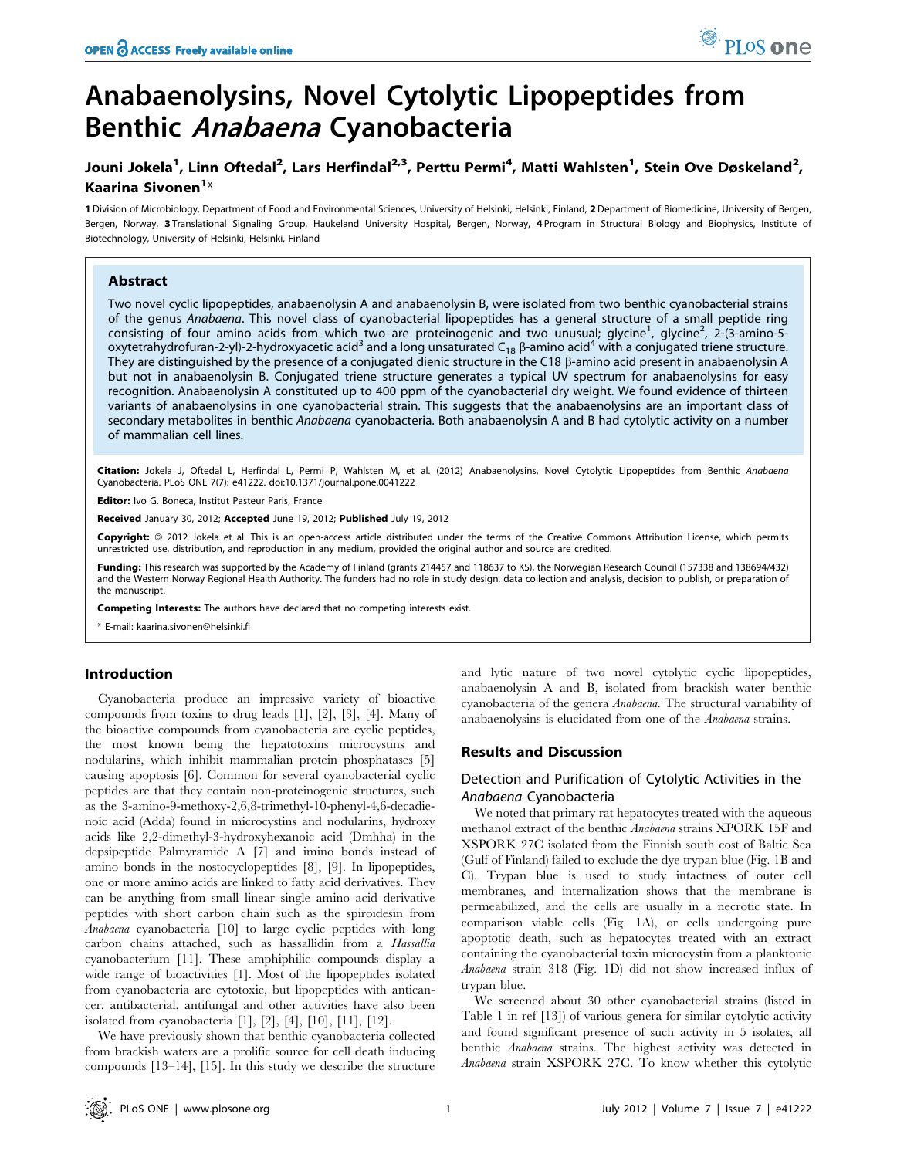# Anabaenolysins, Novel Cytolytic Lipopeptides from Benthic Anabaena Cyanobacteria

# Jouni Jokela<sup>1</sup>, Linn Oftedal<sup>2</sup>, Lars Herfindal<sup>2,3</sup>, Perttu Permi<sup>4</sup>, Matti Wahlsten<sup>1</sup>, Stein Ove Døskeland<sup>2</sup>, Kaarina Sivonen<sup>1</sup>\*

1 Division of Microbiology, Department of Food and Environmental Sciences, University of Helsinki, Helsinki, Finland, 2 Department of Biomedicine, University of Bergen, Bergen, Norway, 3 Translational Signaling Group, Haukeland University Hospital, Bergen, Norway, 4 Program in Structural Biology and Biophysics, Institute of Biotechnology, University of Helsinki, Helsinki, Finland

# Abstract

Two novel cyclic lipopeptides, anabaenolysin A and anabaenolysin B, were isolated from two benthic cyanobacterial strains of the genus Anabaena. This novel class of cyanobacterial lipopeptides has a general structure of a small peptide ring consisting of four amino acids from which two are proteinogenic and two unusual; glycine<sup>1</sup>, glycine<sup>2</sup>, 2-(3-amino-5oxytetrahydrofuran-2-yl)-2-hydroxyacetic acid<sup>3</sup> and a long unsaturated C<sub>18</sub>  $\beta$ -amino acid<sup>4</sup> with a conjugated triene structure. They are distinguished by the presence of a conjugated dienic structure in the C18  $\beta$ -amino acid present in anabaenolysin A but not in anabaenolysin B. Conjugated triene structure generates a typical UV spectrum for anabaenolysins for easy recognition. Anabaenolysin A constituted up to 400 ppm of the cyanobacterial dry weight. We found evidence of thirteen variants of anabaenolysins in one cyanobacterial strain. This suggests that the anabaenolysins are an important class of secondary metabolites in benthic Anabaena cyanobacteria. Both anabaenolysin A and B had cytolytic activity on a number of mammalian cell lines.

Citation: Jokela J, Oftedal L, Herfindal L, Permi P, Wahlsten M, et al. (2012) Anabaenolysins, Novel Cytolytic Lipopeptides from Benthic Anabaena Cyanobacteria. PLoS ONE 7(7): e41222. doi:10.1371/journal.pone.0041222

Editor: Ivo G. Boneca, Institut Pasteur Paris, France

Received January 30, 2012; Accepted June 19, 2012; Published July 19, 2012

Copyright: © 2012 Jokela et al. This is an open-access article distributed under the terms of the Creative Commons Attribution License, which permits unrestricted use, distribution, and reproduction in any medium, provided the original author and source are credited.

Funding: This research was supported by the Academy of Finland (grants 214457 and 118637 to KS), the Norwegian Research Council (157338 and 138694/432) and the Western Norway Regional Health Authority. The funders had no role in study design, data collection and analysis, decision to publish, or preparation of the manuscript.

Competing Interests: The authors have declared that no competing interests exist.

\* E-mail: kaarina.sivonen@helsinki.fi

#### Introduction

Cyanobacteria produce an impressive variety of bioactive compounds from toxins to drug leads [1], [2], [3], [4]. Many of the bioactive compounds from cyanobacteria are cyclic peptides, the most known being the hepatotoxins microcystins and nodularins, which inhibit mammalian protein phosphatases [5] causing apoptosis [6]. Common for several cyanobacterial cyclic peptides are that they contain non-proteinogenic structures, such as the 3-amino-9-methoxy-2,6,8-trimethyl-10-phenyl-4,6-decadienoic acid (Adda) found in microcystins and nodularins, hydroxy acids like 2,2-dimethyl-3-hydroxyhexanoic acid (Dmhha) in the depsipeptide Palmyramide A [7] and imino bonds instead of amino bonds in the nostocyclopeptides [8], [9]. In lipopeptides, one or more amino acids are linked to fatty acid derivatives. They can be anything from small linear single amino acid derivative peptides with short carbon chain such as the spiroidesin from Anabaena cyanobacteria [10] to large cyclic peptides with long carbon chains attached, such as hassallidin from a Hassallia cyanobacterium [11]. These amphiphilic compounds display a wide range of bioactivities [1]. Most of the lipopeptides isolated from cyanobacteria are cytotoxic, but lipopeptides with anticancer, antibacterial, antifungal and other activities have also been isolated from cyanobacteria [1], [2], [4], [10], [11], [12].

We have previously shown that benthic cyanobacteria collected from brackish waters are a prolific source for cell death inducing compounds [13–14], [15]. In this study we describe the structure and lytic nature of two novel cytolytic cyclic lipopeptides, anabaenolysin A and B, isolated from brackish water benthic cyanobacteria of the genera Anabaena. The structural variability of anabaenolysins is elucidated from one of the Anabaena strains.

PLoS one

### Results and Discussion

# Detection and Purification of Cytolytic Activities in the Anabaena Cyanobacteria

We noted that primary rat hepatocytes treated with the aqueous methanol extract of the benthic Anabaena strains XPORK 15F and XSPORK 27C isolated from the Finnish south cost of Baltic Sea (Gulf of Finland) failed to exclude the dye trypan blue (Fig. 1B and C). Trypan blue is used to study intactness of outer cell membranes, and internalization shows that the membrane is permeabilized, and the cells are usually in a necrotic state. In comparison viable cells (Fig. 1A), or cells undergoing pure apoptotic death, such as hepatocytes treated with an extract containing the cyanobacterial toxin microcystin from a planktonic Anabaena strain 318 (Fig. 1D) did not show increased influx of trypan blue.

We screened about 30 other cyanobacterial strains (listed in Table 1 in ref [13]) of various genera for similar cytolytic activity and found significant presence of such activity in 5 isolates, all benthic Anabaena strains. The highest activity was detected in Anabaena strain XSPORK 27C. To know whether this cytolytic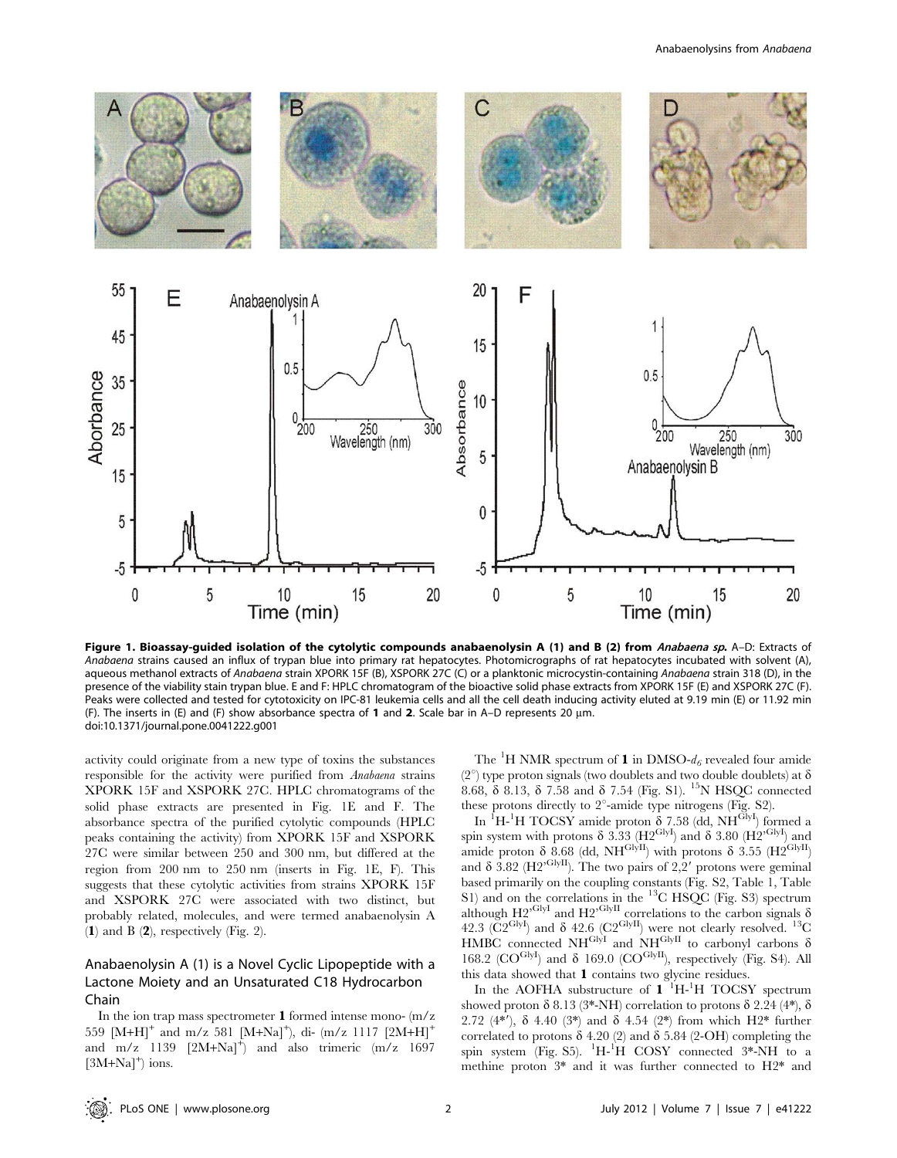

Figure 1. Bioassay-guided isolation of the cytolytic compounds anabaenolysin A (1) and B (2) from Anabaena sp. A-D: Extracts of Anabaena strains caused an influx of trypan blue into primary rat hepatocytes. Photomicrographs of rat hepatocytes incubated with solvent (A), aqueous methanol extracts of Anabaena strain XPORK 15F (B), XSPORK 27C (C) or a planktonic microcystin-containing Anabaena strain 318 (D), in the presence of the viability stain trypan blue. E and F: HPLC chromatogram of the bioactive solid phase extracts from XPORK 15F (E) and XSPORK 27C (F). Peaks were collected and tested for cytotoxicity on IPC-81 leukemia cells and all the cell death inducing activity eluted at 9.19 min (E) or 11.92 min (F). The inserts in (E) and (F) show absorbance spectra of 1 and 2. Scale bar in A–D represents 20  $\mu$ m. doi:10.1371/journal.pone.0041222.g001

activity could originate from a new type of toxins the substances responsible for the activity were purified from Anabaena strains XPORK 15F and XSPORK 27C. HPLC chromatograms of the solid phase extracts are presented in Fig. 1E and F. The absorbance spectra of the purified cytolytic compounds (HPLC peaks containing the activity) from XPORK 15F and XSPORK 27C were similar between 250 and 300 nm, but differed at the region from 200 nm to 250 nm (inserts in Fig. 1E, F). This suggests that these cytolytic activities from strains XPORK 15F and XSPORK 27C were associated with two distinct, but probably related, molecules, and were termed anabaenolysin A (1) and B  $(2)$ , respectively (Fig. 2).

# Anabaenolysin A (1) is a Novel Cyclic Lipopeptide with a Lactone Moiety and an Unsaturated C18 Hydrocarbon Chain

In the ion trap mass spectrometer 1 formed intense mono- (m/z 559 [M+H]<sup>+</sup> and m/z 581 [M+Na]<sup>+</sup>), di- (m/z 1117 [2M+H]<sup>+</sup> and  $m/z$  1139  $[2M+Na]^+$  and also trimeric  $(m/z)$  1697  $[3M+Na]^+$ ) ions.

The <sup>1</sup>H NMR spectrum of **1** in DMSO- $d_6$  revealed four amide (2<sup>o</sup>) type proton signals (two doublets and two double doublets) at  $\delta$ 8.68,  $\delta$  8.13,  $\delta$  7.58 and  $\delta$  7.54 (Fig. S1). <sup>15</sup>N HSQC connected these protons directly to  $2^{\circ}$ -amide type nitrogens (Fig. S2).

In <sup>1</sup>H-<sup>1</sup>H TOCSY amide proton  $\delta$  7.58 (dd, NH<sup>GlyI</sup>) formed a spin system with protons  $\delta$  3.33 (H2<sup>GlyI</sup>) and  $\delta$  3.80 (H2<sup>GlyI</sup>) and amide proton  $\delta$  8.68 (dd, NH<sup>GlyII</sup>) with protons  $\delta$  3.55 (H2<sup>GlyII</sup>) and  $\delta$  3.82 (H2<sup>,GlyII</sup>). The two pairs of 2,2' protons were geminal based primarily on the coupling constants (Fig. S2, Table 1, Table S1) and on the correlations in the <sup>13</sup>C HSQC (Fig. S3) spectrum although  $H2^{GlyI}$  and  $H2^{GlyII}$  correlations to the carbon signals  $\delta$ 42.3 ( $\text{C2}^{\text{GlyI}}$ ) and  $\delta$  42.6 ( $\text{C2}^{\text{GlyII}}$ ) were not clearly resolved. <sup>13</sup>C HMBC connected NH<sup>GlyI</sup> and NH<sup>GlyII</sup> to carbonyl carbons  $\delta$ 168.2 ( $CO^{GlyI}$ ) and  $\delta$  169.0 ( $CO^{GlyI}$ ), respectively (Fig. S4). All this data showed that 1 contains two glycine residues.

In the AOFHA substructure of  $1$ <sup> $1$ </sup>H<sup>-1</sup>H TOCSY spectrum showed proton  $\delta$  8.13 (3\*-NH) correlation to protons  $\delta$  2.24 (4\*),  $\delta$ 2.72 (4\*'),  $\delta$  4.40 (3\*) and  $\delta$  4.54 (2\*) from which H2\* further correlated to protons  $\delta$  4.20 (2) and  $\delta$  5.84 (2-OH) completing the spin system (Fig. S5). <sup>1</sup>H-<sup>1</sup>H COSY connected 3\*-NH to a methine proton 3\* and it was further connected to H2\* and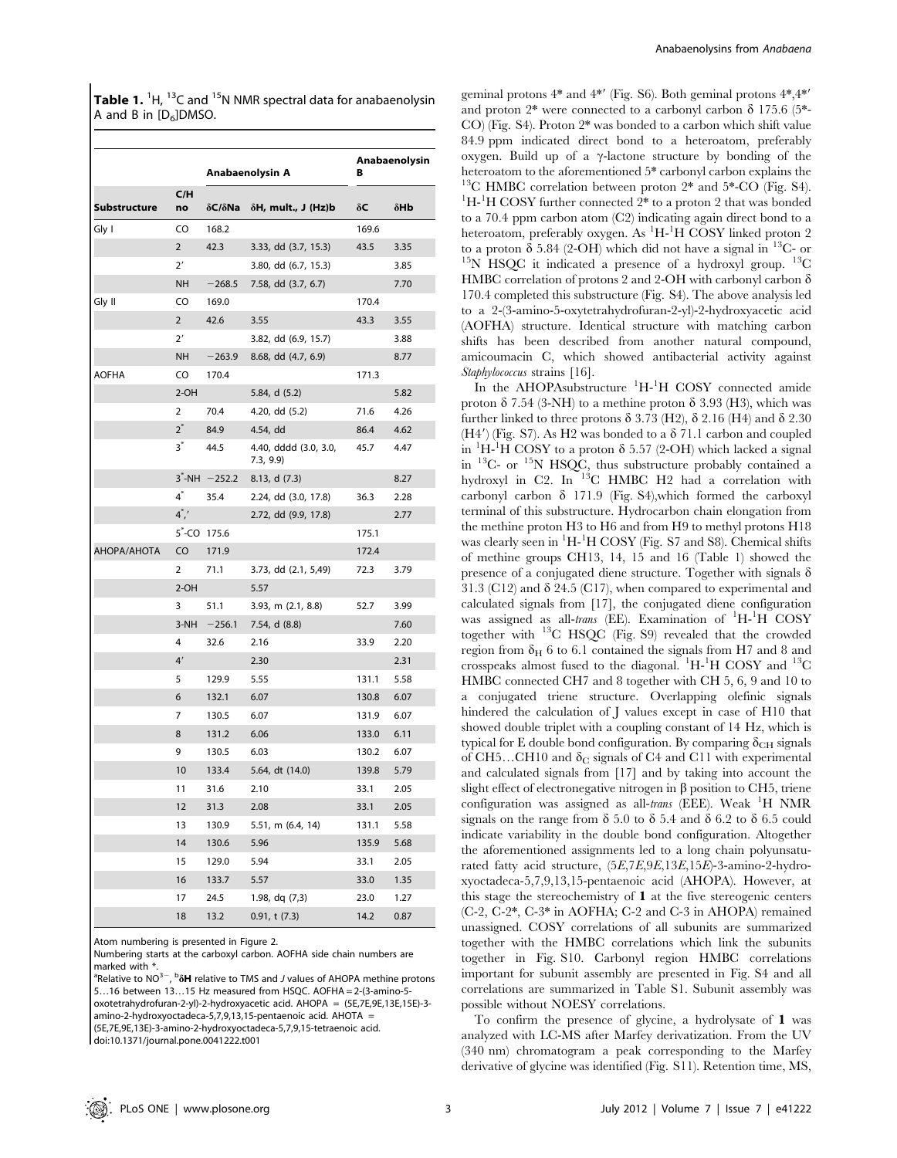Table 1. <sup>1</sup>H, <sup>13</sup>C and <sup>15</sup>N NMR spectral data for anabaenolysin A and B in  $[D_6]$ DMSO.

|              |                |                            | Anabaenolysin A                   | в     | Anabaenolysin |  |
|--------------|----------------|----------------------------|-----------------------------------|-------|---------------|--|
| Substructure | C/H<br>no      | $\delta C/\delta$ Na       | $\delta$ H, mult., J (Hz)b        | δC    | δHb           |  |
| Gly I        | CO             | 168.2                      |                                   | 169.6 |               |  |
|              | $\overline{2}$ | 42.3                       | 3.33, dd (3.7, 15.3)              | 43.5  | 3.35          |  |
|              | 2'             |                            | 3.80, dd (6.7, 15.3)              |       | 3.85          |  |
|              | <b>NH</b>      | $-268.5$                   | 7.58, dd (3.7, 6.7)               |       | 7.70          |  |
| Gly II       | CO             | 169.0                      |                                   | 170.4 |               |  |
|              | $\overline{2}$ | 42.6                       | 3.55                              | 43.3  | 3.55          |  |
|              | 2'             |                            | 3.82, dd (6.9, 15.7)              |       | 3.88          |  |
|              | NH             | $-263.9$                   | 8.68, dd (4.7, 6.9)               |       | 8.77          |  |
| AOFHA        | CO             | 170.4                      |                                   | 171.3 |               |  |
|              | $2-OH$         |                            | 5.84, d (5.2)                     |       | 5.82          |  |
|              | 2              | 70.4                       | 4.20, dd (5.2)                    | 71.6  | 4.26          |  |
|              | $2^*$          | 84.9                       | 4.54, dd                          | 86.4  | 4.62          |  |
|              | $3^*$          | 44.5                       | 4.40, dddd (3.0, 3.0,<br>7.3, 9.9 | 45.7  | 4.47          |  |
|              |                | $3^{\degree}$ -NH $-252.2$ | 8.13, d(7.3)                      |       | 8.27          |  |
|              | $4^*$          | 35.4                       | 2.24, dd (3.0, 17.8)              | 36.3  | 2.28          |  |
|              | $4^{\ast}$ ,'  |                            | 2.72, dd (9.9, 17.8)              |       | 2.77          |  |
|              |                | 5 <sup>-</sup> CO 175.6    |                                   | 175.1 |               |  |
| ΑΗΟΡΑ/ΑΗΟΤΑ  | CO             | 171.9                      |                                   | 172.4 |               |  |
|              | 2              | 71.1                       | 3.73, dd (2.1, 5,49)              | 72.3  | 3.79          |  |
|              | $2-OH$         |                            | 5.57                              |       |               |  |
|              | 3              | 51.1                       | 3.93, m (2.1, 8.8)                | 52.7  | 3.99          |  |
|              | 3-NH           | $-256.1$                   | 7.54, d (8.8)                     |       | 7.60          |  |
|              | 4              | 32.6                       | 2.16                              | 33.9  | 2.20          |  |
|              | 4'             |                            | 2.30                              |       | 2.31          |  |
|              | 5              | 129.9                      | 5.55                              | 131.1 | 5.58          |  |
|              | 6              | 132.1                      | 6.07                              | 130.8 | 6.07          |  |
|              | 7              | 130.5                      | 6.07                              | 131.9 | 6.07          |  |
|              | 8              | 131.2                      | 6.06                              | 133.0 | 6.11          |  |
|              | 9              | 130.5                      | 6.03                              | 130.2 | 6.07          |  |
|              | 10             | 133.4                      | 5.64, dt (14.0)                   | 139.8 | 5.79          |  |
|              | 11             | 31.6                       | 2.10                              | 33.1  | 2.05          |  |
|              | 12             | 31.3                       | 2.08                              | 33.1  | 2.05          |  |
|              | 13             | 130.9                      | 5.51, m (6.4, 14)                 | 131.1 | 5.58          |  |
|              | 14             | 130.6                      | 5.96                              | 135.9 | 5.68          |  |
|              | 15             | 129.0                      | 5.94                              | 33.1  | 2.05          |  |
|              | 16             | 133.7                      | 5.57                              | 33.0  | 1.35          |  |
|              | 17             | 24.5                       | 1.98, dq (7,3)                    | 23.0  | 1.27          |  |
|              | 18             | 13.2                       | $0.91$ , t $(7.3)$                | 14.2  | 0.87          |  |

Atom numbering is presented in Figure 2.

Numbering starts at the carboxyl carbon. AOFHA side chain numbers are marked with  $*$ 

<sup>a</sup>Relative to NO<sup>3-</sup>, <sup>b</sup><sub>o</sub>H relative to TMS and J values of AHOPA methine protons 5…16 between 13…15 Hz measured from HSQC. AOFHA = 2-(3-amino-5 oxotetrahydrofuran-2-yl)-2-hydroxyacetic acid. AHOPA = (5E,7E,9E,13E,15E)-3 amino-2-hydroxyoctadeca-5,7,9,13,15-pentaenoic acid. AHOTA = (5E,7E,9E,13E)-3-amino-2-hydroxyoctadeca-5,7,9,15-tetraenoic acid. doi:10.1371/journal.pone.0041222.t001

geminal protons  $4^*$  and  $4^{*'}$  (Fig. S6). Both geminal protons  $4^*,4^{*'}$ and proton  $2^*$  were connected to a carbonyl carbon  $\delta$  175.6 (5<sup>\*</sup>-CO) (Fig. S4). Proton 2\* was bonded to a carbon which shift value 84.9 ppm indicated direct bond to a heteroatom, preferably oxygen. Build up of a  $\gamma$ -lactone structure by bonding of the heteroatom to the aforementioned 5\* carbonyl carbon explains the <sup>13</sup>C HMBC correlation between proton  $2^*$  and  $5^*$ -CO (Fig. S4). H-<sup>1</sup>H COSY further connected 2<sup>\*</sup> to a proton 2 that was bonded to a 70.4 ppm carbon atom (C2) indicating again direct bond to a heteroatom, preferably oxygen. As <sup>1</sup>H-<sup>1</sup>H COSY linked proton 2 to a proton  $\delta$  5.84 (2-OH) which did not have a signal in <sup>13</sup>C- or <sup>15</sup>N HSQC it indicated a presence of a hydroxyl group. <sup>13</sup>C HMBC correlation of protons 2 and 2-OH with carbonyl carbon  $\delta$ 170.4 completed this substructure (Fig. S4). The above analysis led to a 2-(3-amino-5-oxytetrahydrofuran-2-yl)-2-hydroxyacetic acid (AOFHA) structure. Identical structure with matching carbon shifts has been described from another natural compound, amicoumacin C, which showed antibacterial activity against Staphylococcus strains [16].

In the AHOPAsubstructure <sup>1</sup>H-<sup>1</sup>H COSY connected amide proton  $\delta$  7.54 (3-NH) to a methine proton  $\delta$  3.93 (H3), which was further linked to three protons  $\delta$  3.73 (H2),  $\delta$  2.16 (H4) and  $\delta$  2.30  $(H4')$  (Fig. S7). As H2 was bonded to a  $\delta$  71.1 carbon and coupled in  ${}^{1}H-{}^{1}H$  COSY to a proton  $\delta$  5.57 (2-OH) which lacked a signal in <sup>13</sup>C- or <sup>15</sup>N HSQC, thus substructure probably contained a hydroxyl in C2. In <sup>13</sup>C HMBC H2 had a correlation with carbonyl carbon  $\delta$  171.9 (Fig. S4), which formed the carboxyl terminal of this substructure. Hydrocarbon chain elongation from the methine proton H3 to H6 and from H9 to methyl protons H18 was clearly seen in <sup>1</sup>H-<sup>1</sup>H COSY (Fig. S7 and S8). Chemical shifts of methine groups CH13, 14, 15 and 16 (Table 1) showed the presence of a conjugated diene structure. Together with signals  $\delta$ 31.3 (C12) and  $\delta$  24.5 (C17), when compared to experimental and calculated signals from [17], the conjugated diene configuration was assigned as all-trans (EE). Examination of <sup>1</sup>H-<sup>1</sup>H COSY together with  $^{13}C$  HSQC (Fig. S9) revealed that the crowded region from  $\delta_H$  6 to 6.1 contained the signals from H7 and 8 and crosspeaks almost fused to the diagonal. <sup>1</sup>H-<sup>1</sup>H COSY and <sup>13</sup>C HMBC connected CH7 and 8 together with CH 5, 6, 9 and 10 to a conjugated triene structure. Overlapping olefinic signals hindered the calculation of J values except in case of H10 that showed double triplet with a coupling constant of 14 Hz, which is typical for E double bond configuration. By comparing  $\delta_{\text{CH}}$  signals of CH5...CH10 and  $\delta_{\rm C}$  signals of C4 and C11 with experimental and calculated signals from [17] and by taking into account the slight effect of electronegative nitrogen in  $\beta$  position to CH5, triene configuration was assigned as all-trans (EEE). Weak <sup>1</sup>H NMR signals on the range from  $\delta$  5.0 to  $\delta$  5.4 and  $\delta$  6.2 to  $\delta$  6.5 could indicate variability in the double bond configuration. Altogether the aforementioned assignments led to a long chain polyunsaturated fatty acid structure, (5E,7E,9E,13E,15E)-3-amino-2-hydroxyoctadeca-5,7,9,13,15-pentaenoic acid (AHOPA). However, at this stage the stereochemistry of 1 at the five stereogenic centers (C-2, C-2\*, C-3\* in AOFHA; C-2 and C-3 in AHOPA) remained unassigned. COSY correlations of all subunits are summarized together with the HMBC correlations which link the subunits together in Fig. S10. Carbonyl region HMBC correlations important for subunit assembly are presented in Fig. S4 and all correlations are summarized in Table S1. Subunit assembly was possible without NOESY correlations.

To confirm the presence of glycine, a hydrolysate of 1 was analyzed with LC-MS after Marfey derivatization. From the UV (340 nm) chromatogram a peak corresponding to the Marfey derivative of glycine was identified (Fig. S11). Retention time, MS,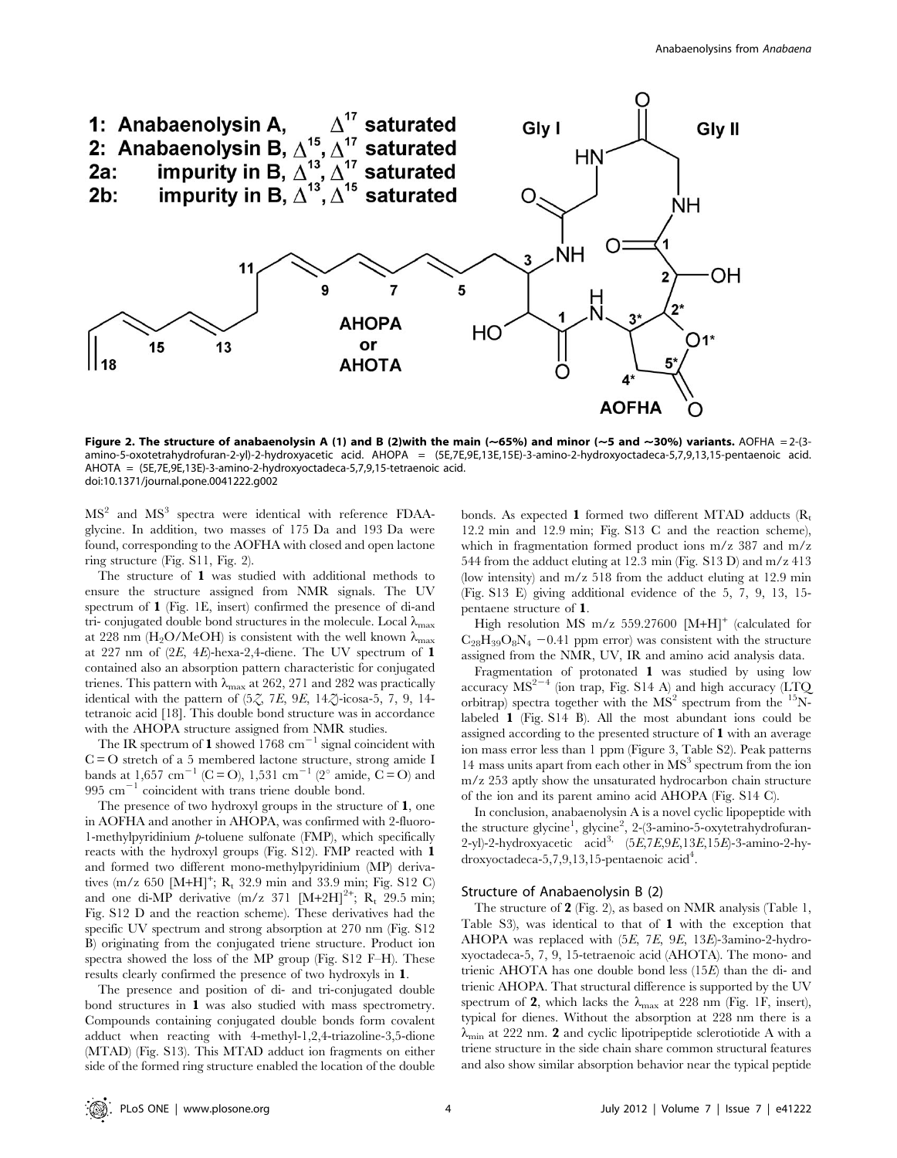

Figure 2. The structure of anabaenolysin A (1) and B (2)with the main ( $\sim$ 65%) and minor ( $\sim$ 5 and  $\sim$ 30%) variants. AOFHA = 2-(3amino-5-oxotetrahydrofuran-2-yl)-2-hydroxyacetic acid. AHOPA = (5E,7E,9E,13E,15E)-3-amino-2-hydroxyoctadeca-5,7,9,13,15-pentaenoic acid. AHOTA = (5E,7E,9E,13E)-3-amino-2-hydroxyoctadeca-5,7,9,15-tetraenoic acid. doi:10.1371/journal.pone.0041222.g002

MS<sup>2</sup> and MS<sup>3</sup> spectra were identical with reference FDAAglycine. In addition, two masses of 175 Da and 193 Da were found, corresponding to the AOFHA with closed and open lactone ring structure (Fig. S11, Fig. 2).

The structure of 1 was studied with additional methods to ensure the structure assigned from NMR signals. The UV spectrum of 1 (Fig. 1E, insert) confirmed the presence of di-and tri- conjugated double bond structures in the molecule. Local  $\lambda_{\text{max}}$ at 228 nm (H<sub>2</sub>O/MeOH) is consistent with the well known  $\lambda_{\text{max}}$ at 227 nm of  $(2E, 4E)$ -hexa-2,4-diene. The UV spectrum of 1 contained also an absorption pattern characteristic for conjugated trienes. This pattern with  $\lambda_{\text{max}}$  at 262, 271 and 282 was practically identical with the pattern of  $(5, 7, 7E, 9E, 14, 7)$ -icosa-5, 7, 9, 14tetranoic acid [18]. This double bond structure was in accordance with the AHOPA structure assigned from NMR studies.

The IR spectrum of 1 showed 1768  $\text{cm}^{-1}$  signal coincident with  $C = O$  stretch of a 5 membered lactone structure, strong amide I bands at 1,657 cm<sup>-1</sup> (C = O), 1,531 cm<sup>-1</sup> (2<sup>o</sup> amide, C = O) and  $995 \text{ cm}^{-1}$  coincident with trans triene double bond.

The presence of two hydroxyl groups in the structure of 1, one in AOFHA and another in AHOPA, was confirmed with 2-fluoro-1-methylpyridinium  $p$ -toluene sulfonate (FMP), which specifically reacts with the hydroxyl groups (Fig. S12). FMP reacted with 1 and formed two different mono-methylpyridinium (MP) derivatives  $(m/z 650 [M+H]<sup>+</sup>; R<sub>t</sub> 32.9 min and 33.9 min; Fig. S12 C)$ and one di-MP derivative  $(m/z 371 [M+2H]^{2+}$ ;  $R_t 29.5 min$ ; Fig. S12 D and the reaction scheme). These derivatives had the specific UV spectrum and strong absorption at 270 nm (Fig. S12 B) originating from the conjugated triene structure. Product ion spectra showed the loss of the MP group (Fig. S12 F–H). These results clearly confirmed the presence of two hydroxyls in 1.

The presence and position of di- and tri-conjugated double bond structures in 1 was also studied with mass spectrometry. Compounds containing conjugated double bonds form covalent adduct when reacting with 4-methyl-1,2,4-triazoline-3,5-dione (MTAD) (Fig. S13). This MTAD adduct ion fragments on either side of the formed ring structure enabled the location of the double bonds. As expected 1 formed two different MTAD adducts  $(R_t)$ 12.2 min and 12.9 min; Fig. S13 C and the reaction scheme), which in fragmentation formed product ions m/z 387 and m/z 544 from the adduct eluting at 12.3 min (Fig. S13 D) and m/z 413 (low intensity) and m/z 518 from the adduct eluting at 12.9 min (Fig. S13 E) giving additional evidence of the 5, 7, 9, 13, 15 pentaene structure of 1.

High resolution MS m/z 559.27600  $[M+H]$ <sup>+</sup> (calculated for  $C_{28}H_{39}O_8N_4$  -0.41 ppm error) was consistent with the structure assigned from the NMR, UV, IR and amino acid analysis data.

Fragmentation of protonated 1 was studied by using low accuracy  $MS^{2-4}$  (ion trap, Fig. S14 A) and high accuracy (LTQ orbitrap) spectra together with the  $MS<sup>2</sup>$  spectrum from the <sup>15</sup>Nlabeled 1 (Fig. S14 B). All the most abundant ions could be assigned according to the presented structure of 1 with an average ion mass error less than 1 ppm (Figure 3, Table S2). Peak patterns 14 mass units apart from each other in  $MS<sup>3</sup>$  spectrum from the ion m/z 253 aptly show the unsaturated hydrocarbon chain structure of the ion and its parent amino acid AHOPA (Fig. S14 C).

In conclusion, anabaenolysin A is a novel cyclic lipopeptide with the structure glycine<sup>1</sup>, glycine<sup>2</sup>, 2-(3-amino-5-oxytetrahydrofuran-2-yl)-2-hydroxyacetic acid<sup>3,</sup>  $(5E,7E,9E,13E,15E)$ -3-amino-2-hydroxyoctadeca-5,7,9,13,15-pentaenoic  $\text{acid}^4$ .

#### Structure of Anabaenolysin B (2)

The structure of 2 (Fig. 2), as based on NMR analysis (Table 1, Table S3), was identical to that of 1 with the exception that AHOPA was replaced with (5E, 7E, 9E, 13E)-3amino-2-hydroxyoctadeca-5, 7, 9, 15-tetraenoic acid (AHOTA). The mono- and trienic AHOTA has one double bond less (15E) than the di- and trienic AHOPA. That structural difference is supported by the UV spectrum of 2, which lacks the  $\lambda_{\text{max}}$  at 228 nm (Fig. 1F, insert), typical for dienes. Without the absorption at 228 nm there is a  $\lambda_{\text{min}}$  at 222 nm. 2 and cyclic lipotripeptide sclerotiotide A with a triene structure in the side chain share common structural features and also show similar absorption behavior near the typical peptide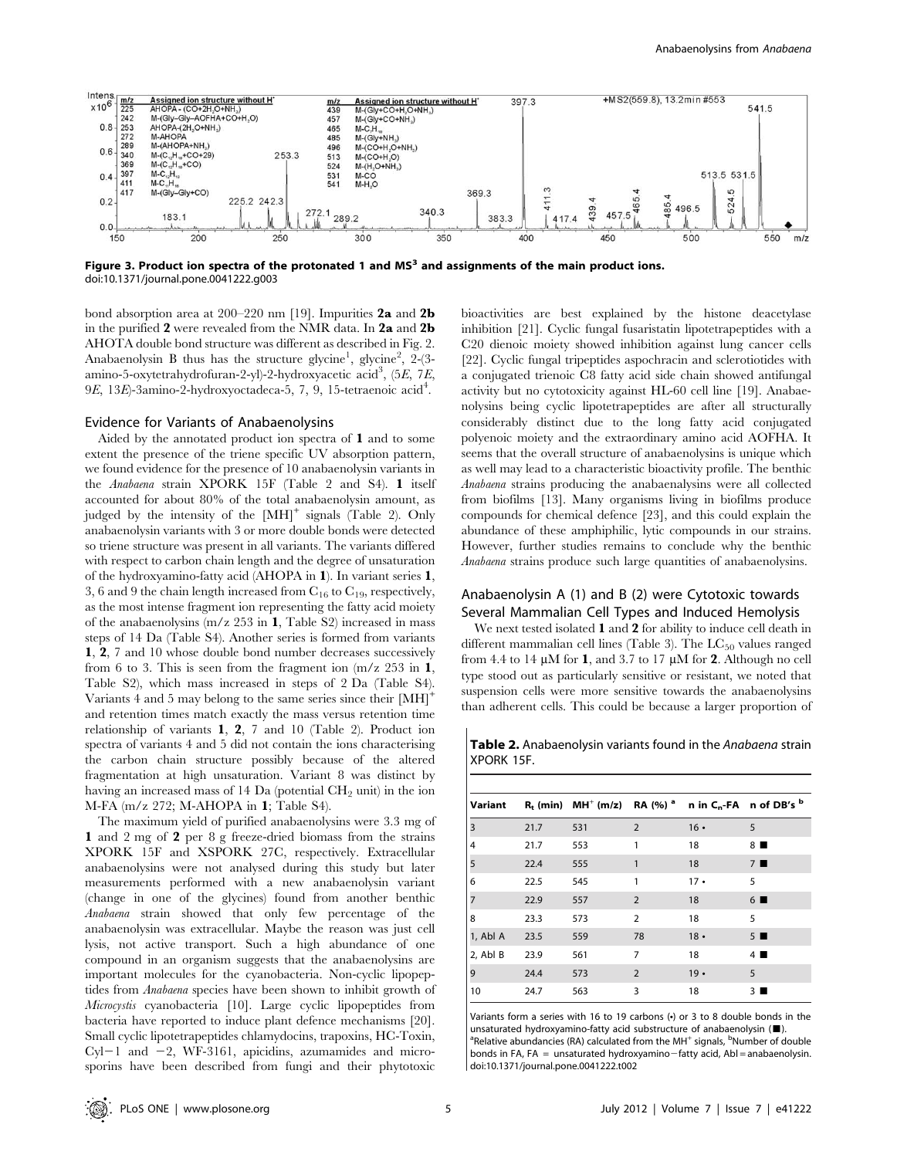

Figure 3. Product ion spectra of the protonated 1 and  $MS<sup>3</sup>$  and assignments of the main product ions. doi:10.1371/journal.pone.0041222.g003

bond absorption area at 200–220 nm [19]. Impurities 2a and 2b in the purified 2 were revealed from the NMR data. In 2a and 2b AHOTA double bond structure was different as described in Fig. 2. Anabaenolysin B thus has the structure glycine<sup>1</sup>, glycine<sup>2</sup>, 2-(3amino-5-oxytetrahydrofuran-2-yl)-2-hydroxyacetic acid<sup>3</sup>, (5E, 7E, 9E, 13E)-3amino-2-hydroxyoctadeca-5, 7, 9, 15-tetraenoic acid<sup>4</sup>.

#### Evidence for Variants of Anabaenolysins

Aided by the annotated product ion spectra of 1 and to some extent the presence of the triene specific UV absorption pattern, we found evidence for the presence of 10 anabaenolysin variants in the Anabaena strain XPORK 15F (Table 2 and S4). 1 itself accounted for about 80% of the total anabaenolysin amount, as judged by the intensity of the  $[MH]$ <sup>+</sup> signals (Table 2). Only anabaenolysin variants with 3 or more double bonds were detected so triene structure was present in all variants. The variants differed with respect to carbon chain length and the degree of unsaturation of the hydroxyamino-fatty acid (AHOPA in 1). In variant series 1, 3, 6 and 9 the chain length increased from  $C_{16}$  to  $C_{19}$ , respectively, as the most intense fragment ion representing the fatty acid moiety of the anabaenolysins (m/z 253 in 1, Table S2) increased in mass steps of 14 Da (Table S4). Another series is formed from variants 1, 2, 7 and 10 whose double bond number decreases successively from 6 to 3. This is seen from the fragment ion  $(m/z)$  253 in 1, Table S2), which mass increased in steps of 2 Da (Table S4). Variants 4 and 5 may belong to the same series since their  $[MH]$ <sup>+</sup> and retention times match exactly the mass versus retention time relationship of variants 1, 2, 7 and 10 (Table 2). Product ion spectra of variants 4 and 5 did not contain the ions characterising the carbon chain structure possibly because of the altered fragmentation at high unsaturation. Variant 8 was distinct by having an increased mass of 14 Da (potential  $\rm CH_{2}$  unit) in the ion M-FA (m/z 272; M-AHOPA in 1; Table S4).

The maximum yield of purified anabaenolysins were 3.3 mg of 1 and 2 mg of 2 per 8 g freeze-dried biomass from the strains XPORK 15F and XSPORK 27C, respectively. Extracellular anabaenolysins were not analysed during this study but later measurements performed with a new anabaenolysin variant (change in one of the glycines) found from another benthic Anabaena strain showed that only few percentage of the anabaenolysin was extracellular. Maybe the reason was just cell lysis, not active transport. Such a high abundance of one compound in an organism suggests that the anabaenolysins are important molecules for the cyanobacteria. Non-cyclic lipopeptides from Anabaena species have been shown to inhibit growth of Microcystis cyanobacteria [10]. Large cyclic lipopeptides from bacteria have reported to induce plant defence mechanisms [20]. Small cyclic lipotetrapeptides chlamydocins, trapoxins, HC-Toxin,  $Cyl-1$  and  $-2$ , WF-3161, apicidins, azumamides and microsporins have been described from fungi and their phytotoxic

bioactivities are best explained by the histone deacetylase inhibition [21]. Cyclic fungal fusaristatin lipotetrapeptides with a C20 dienoic moiety showed inhibition against lung cancer cells [22]. Cyclic fungal tripeptides aspochracin and sclerotiotides with a conjugated trienoic C8 fatty acid side chain showed antifungal activity but no cytotoxicity against HL-60 cell line [19]. Anabaenolysins being cyclic lipotetrapeptides are after all structurally considerably distinct due to the long fatty acid conjugated polyenoic moiety and the extraordinary amino acid AOFHA. It seems that the overall structure of anabaenolysins is unique which as well may lead to a characteristic bioactivity profile. The benthic Anabaena strains producing the anabaenalysins were all collected from biofilms [13]. Many organisms living in biofilms produce compounds for chemical defence [23], and this could explain the abundance of these amphiphilic, lytic compounds in our strains. However, further studies remains to conclude why the benthic Anabaena strains produce such large quantities of anabaenolysins.

# Anabaenolysin A (1) and B (2) were Cytotoxic towards Several Mammalian Cell Types and Induced Hemolysis

We next tested isolated 1 and 2 for ability to induce cell death in different mammalian cell lines (Table 3). The  $LC_{50}$  values ranged from 4.4 to 14  $\mu$ M for 1, and 3.7 to 17  $\mu$ M for 2. Although no cell type stood out as particularly sensitive or resistant, we noted that suspension cells were more sensitive towards the anabaenolysins than adherent cells. This could be because a larger proportion of

Table 2. Anabaenolysin variants found in the Anabaena strain XPORK 15F.

| Variant        |      | $R_t$ (min) $MH^+(m/z)$ RA (%) <sup>a</sup> |                |            | n in $C_n$ -FA n of DB's $^b$ |
|----------------|------|---------------------------------------------|----------------|------------|-------------------------------|
| $\overline{3}$ | 21.7 | 531                                         | 2              | $16 \cdot$ | 5                             |
| $\overline{4}$ | 21.7 | 553                                         | 1              | 18         | 8 ■                           |
| 5              | 22.4 | 555                                         | 1              | 18         | $7 \blacksquare$              |
| 6              | 22.5 | 545                                         | 1              | $17 \cdot$ | 5                             |
| 7              | 22.9 | 557                                         | $\overline{2}$ | 18         | $6 \blacksquare$              |
| 8              | 23.3 | 573                                         | $\overline{2}$ | 18         | 5                             |
| 1, Abl A       | 23.5 | 559                                         | 78             | $18 -$     | $5 \blacksquare$              |
| 2, Abl B       | 23.9 | 561                                         | 7              | 18         | $4 \blacksquare$              |
| 9              | 24.4 | 573                                         | 2              | $19 -$     | 5                             |
| 10             | 24.7 | 563                                         | 3              | 18         | 3 ■                           |

Variants form a series with 16 to 19 carbons (•) or 3 to 8 double bonds in the unsaturated hydroxyamino-fatty acid substructure of anabaenolysin  $(\blacksquare)$ . Relative abundancies (RA) calculated from the MH<sup>+</sup> signals, <sup>b</sup>Number of double bonds in FA, FA = unsaturated hydroxyamino-fatty acid, Abl = anabaenolysin. doi:10.1371/journal.pone.0041222.t002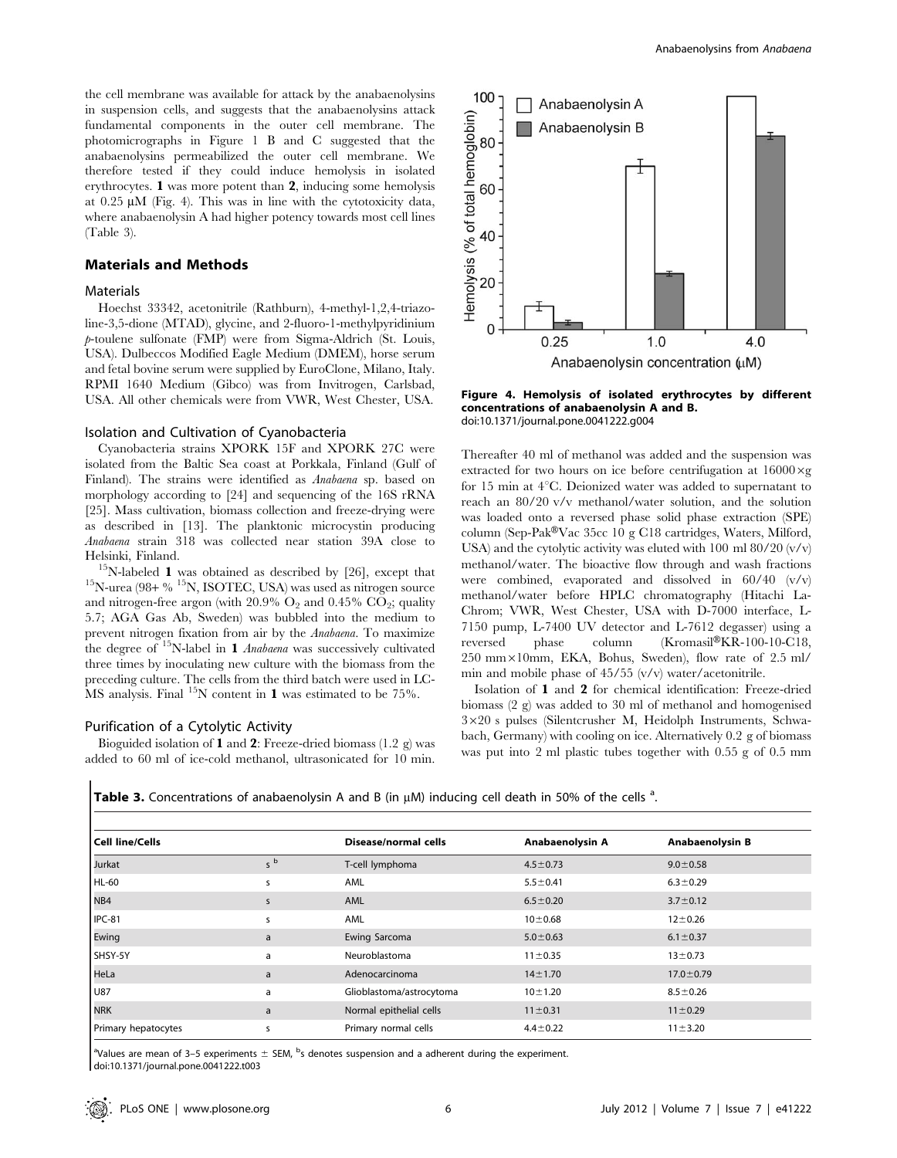the cell membrane was available for attack by the anabaenolysins in suspension cells, and suggests that the anabaenolysins attack fundamental components in the outer cell membrane. The photomicrographs in Figure 1 B and C suggested that the anabaenolysins permeabilized the outer cell membrane. We therefore tested if they could induce hemolysis in isolated erythrocytes. 1 was more potent than 2, inducing some hemolysis at  $0.25 \mu M$  (Fig. 4). This was in line with the cytotoxicity data, where anabaenolysin A had higher potency towards most cell lines (Table 3).

#### Materials and Methods

#### **Materials**

Hoechst 33342, acetonitrile (Rathburn), 4-methyl-1,2,4-triazoline-3,5-dione (MTAD), glycine, and 2-fluoro-1-methylpyridinium p-toulene sulfonate (FMP) were from Sigma-Aldrich (St. Louis, USA). Dulbeccos Modified Eagle Medium (DMEM), horse serum and fetal bovine serum were supplied by EuroClone, Milano, Italy. RPMI 1640 Medium (Gibco) was from Invitrogen, Carlsbad, USA. All other chemicals were from VWR, West Chester, USA.

#### Isolation and Cultivation of Cyanobacteria

Cyanobacteria strains XPORK 15F and XPORK 27C were isolated from the Baltic Sea coast at Porkkala, Finland (Gulf of Finland). The strains were identified as Anabaena sp. based on morphology according to [24] and sequencing of the 16S rRNA [25]. Mass cultivation, biomass collection and freeze-drying were as described in [13]. The planktonic microcystin producing Anabaena strain 318 was collected near station 39A close to

Helsinki, Finland.  $^{15}$ N-labeled 1 was obtained as described by [26], except that  $^{15}$ N-urea (98+ %  $^{15}$ N, ISOTEC, USA) was used as nitrogen source and nitrogen-free argon (with  $20.9\%$  O<sub>2</sub> and  $0.45\%$  CO<sub>2</sub>; quality 5.7; AGA Gas Ab, Sweden) was bubbled into the medium to prevent nitrogen fixation from air by the Anabaena. To maximize the degree of  $15$ N-label in 1 *Anabaena* was successively cultivated three times by inoculating new culture with the biomass from the preceding culture. The cells from the third batch were used in LC-MS analysis. Final  $^{15}N$  content in 1 was estimated to be 75%.

#### Purification of a Cytolytic Activity

Bioguided isolation of 1 and 2: Freeze-dried biomass (1.2 g) was added to 60 ml of ice-cold methanol, ultrasonicated for 10 min.



Figure 4. Hemolysis of isolated erythrocytes by different concentrations of anabaenolysin A and B. doi:10.1371/journal.pone.0041222.g004

Thereafter 40 ml of methanol was added and the suspension was extracted for two hours on ice before centrifugation at  $16000 \times g$ for 15 min at  $4^{\circ}$ C. Deionized water was added to supernatant to reach an 80/20 v/v methanol/water solution, and the solution was loaded onto a reversed phase solid phase extraction (SPE) column (Sep-Pak $V$ ac 35cc 10 g C18 cartridges, Waters, Milford, USA) and the cytolytic activity was eluted with  $100 \text{ ml } 80/20 \text{ (v/v)}$ methanol/water. The bioactive flow through and wash fractions were combined, evaporated and dissolved in 60/40 (v/v) methanol/water before HPLC chromatography (Hitachi La-Chrom; VWR, West Chester, USA with D-7000 interface, L-7150 pump, L-7400 UV detector and L-7612 degasser) using a reversed phase column  $(Kromasil@KR-100-10-C18,$  $250$  mm $\times10$ mm, EKA, Bohus, Sweden), flow rate of  $2.5$  ml/ min and mobile phase of 45/55 (v/v) water/acetonitrile.

Isolation of 1 and 2 for chemical identification: Freeze-dried biomass (2 g) was added to 30 ml of methanol and homogenised  $3\times20$  s pulses (Silentcrusher M, Heidolph Instruments, Schwabach, Germany) with cooling on ice. Alternatively 0.2 g of biomass was put into 2 ml plastic tubes together with 0.55 g of 0.5 mm

Table 3. Concentrations of anabaenolysin A and B (in  $\mu$ M) inducing cell death in 50% of the cells  $^a$ .

| <b>Cell line/Cells</b> |                   | <b>Disease/normal cells</b> | Anabaenolysin A | Anabaenolysin B |
|------------------------|-------------------|-----------------------------|-----------------|-----------------|
| Jurkat                 | b<br>$\mathsf{S}$ | T-cell lymphoma             | $4.5 \pm 0.73$  | $9.0 \pm 0.58$  |
| HL-60                  | s                 | AML                         | $5.5 \pm 0.41$  | $6.3 \pm 0.29$  |
| NB4                    | s                 | AML                         | $6.5 \pm 0.20$  | $3.7 \pm 0.12$  |
| IPC-81                 | s                 | AML                         | $10 + 0.68$     | $12 + 0.26$     |
| Ewing                  | a                 | Ewing Sarcoma               | $5.0 \pm 0.63$  | $6.1 \pm 0.37$  |
| SHSY-5Y                | a                 | Neuroblastoma               | $11 \pm 0.35$   | $13 + 0.73$     |
| HeLa                   | a                 | Adenocarcinoma              | $14 \pm 1.70$   | $17.0 \pm 0.79$ |
| U87                    | a                 | Glioblastoma/astrocytoma    | $10 + 1.20$     | $8.5 \pm 0.26$  |
| <b>NRK</b>             | a                 | Normal epithelial cells     | $11 \pm 0.31$   | $11 \pm 0.29$   |
| Primary hepatocytes    | S                 | Primary normal cells        | $4.4 \pm 0.22$  | $11 + 3.20$     |

<sup>a</sup>Values are mean of 3–5 experiments  $\pm$  SEM, <sup>b</sup>s denotes suspension and a adherent during the experiment. doi:10.1371/journal.pone.0041222.t003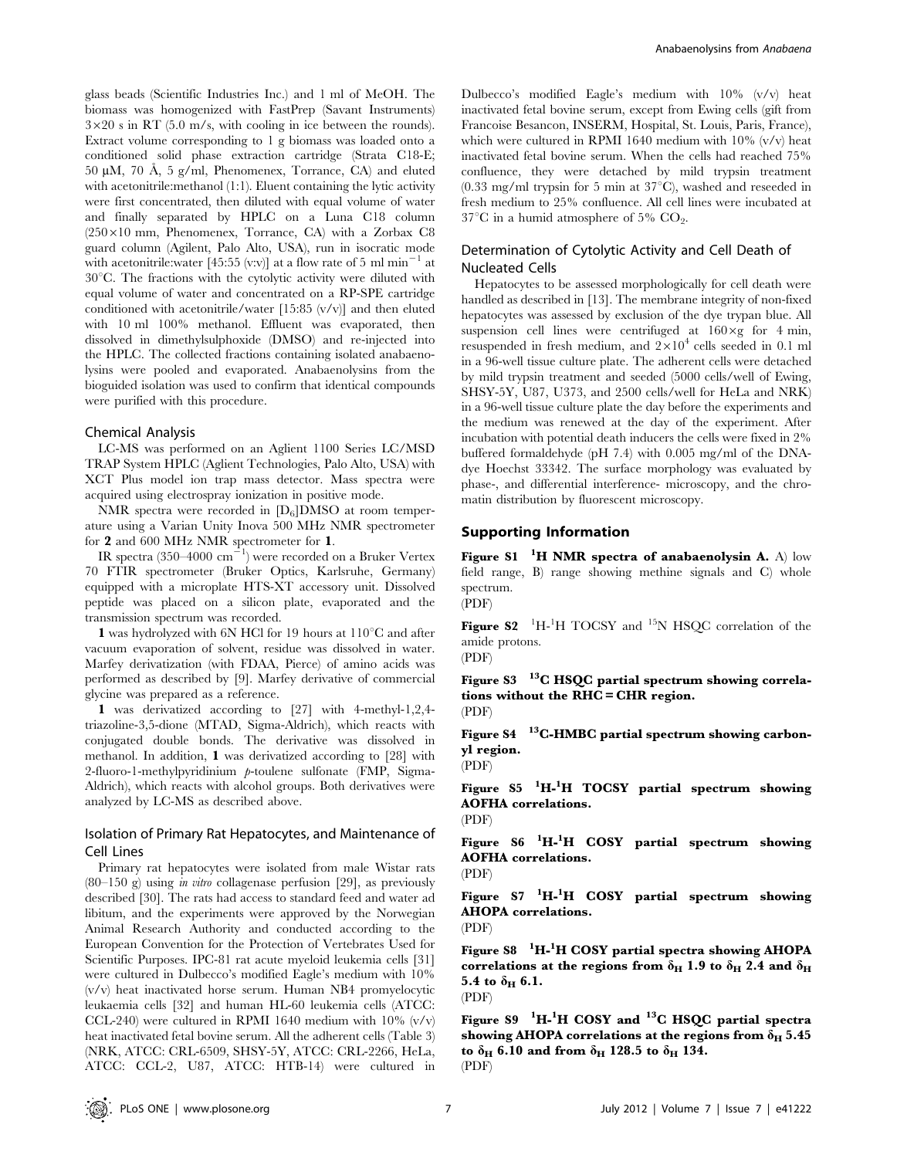glass beads (Scientific Industries Inc.) and 1 ml of MeOH. The biomass was homogenized with FastPrep (Savant Instruments)  $3\times20$  s in RT (5.0 m/s, with cooling in ice between the rounds). Extract volume corresponding to 1 g biomass was loaded onto a conditioned solid phase extraction cartridge (Strata C18-E; 50 µM, 70 Å, 5 g/ml, Phenomenex, Torrance, CA) and eluted with acetonitrile:methanol (1:1). Eluent containing the lytic activity were first concentrated, then diluted with equal volume of water and finally separated by HPLC on a Luna C18 column  $(250\times10$  mm, Phenomenex, Torrance, CA) with a Zorbax C8 guard column (Agilent, Palo Alto, USA), run in isocratic mode with acetonitrile:water [45:55 (v:v)] at a flow rate of 5 ml min<sup>-1</sup> at  $30^{\circ}$ C. The fractions with the cytolytic activity were diluted with equal volume of water and concentrated on a RP-SPE cartridge conditioned with acetonitrile/water [15:85 (v/v)] and then eluted with 10 ml 100% methanol. Effluent was evaporated, then dissolved in dimethylsulphoxide (DMSO) and re-injected into the HPLC. The collected fractions containing isolated anabaenolysins were pooled and evaporated. Anabaenolysins from the bioguided isolation was used to confirm that identical compounds were purified with this procedure.

#### Chemical Analysis

LC-MS was performed on an Aglient 1100 Series LC/MSD TRAP System HPLC (Aglient Technologies, Palo Alto, USA) with XCT Plus model ion trap mass detector. Mass spectra were acquired using electrospray ionization in positive mode.

NMR spectra were recorded in  $[D_6]$ DMSO at room temperature using a Varian Unity Inova 500 MHz NMR spectrometer for 2 and 600 MHz NMR spectrometer for 1.

IR spectra (350–4000  $\text{cm}^{-1}$ ) were recorded on a Bruker Vertex 70 FTIR spectrometer (Bruker Optics, Karlsruhe, Germany) equipped with a microplate HTS-XT accessory unit. Dissolved peptide was placed on a silicon plate, evaporated and the transmission spectrum was recorded.

1 was hydrolyzed with 6N HCl for 19 hours at  $110^{\circ}$ C and after vacuum evaporation of solvent, residue was dissolved in water. Marfey derivatization (with FDAA, Pierce) of amino acids was performed as described by [9]. Marfey derivative of commercial glycine was prepared as a reference.

1 was derivatized according to [27] with 4-methyl-1,2,4 triazoline-3,5-dione (MTAD, Sigma-Aldrich), which reacts with conjugated double bonds. The derivative was dissolved in methanol. In addition, 1 was derivatized according to [28] with 2-fluoro-1-methylpyridinium p-toulene sulfonate (FMP, Sigma-Aldrich), which reacts with alcohol groups. Both derivatives were analyzed by LC-MS as described above.

## Isolation of Primary Rat Hepatocytes, and Maintenance of Cell Lines

Primary rat hepatocytes were isolated from male Wistar rats  $(80-150 \text{ g})$  using *in vitro* collagenase perfusion [29], as previously described [30]. The rats had access to standard feed and water ad libitum, and the experiments were approved by the Norwegian Animal Research Authority and conducted according to the European Convention for the Protection of Vertebrates Used for Scientific Purposes. IPC-81 rat acute myeloid leukemia cells [31] were cultured in Dulbecco's modified Eagle's medium with 10% (v/v) heat inactivated horse serum. Human NB4 promyelocytic leukaemia cells [32] and human HL-60 leukemia cells (ATCC: CCL-240) were cultured in RPMI 1640 medium with  $10\%$  (v/v) heat inactivated fetal bovine serum. All the adherent cells (Table 3) (NRK, ATCC: CRL-6509, SHSY-5Y, ATCC: CRL-2266, HeLa, ATCC: CCL-2, U87, ATCC: HTB-14) were cultured in Dulbecco's modified Eagle's medium with 10% (v/v) heat inactivated fetal bovine serum, except from Ewing cells (gift from Francoise Besancon, INSERM, Hospital, St. Louis, Paris, France), which were cultured in RPMI 1640 medium with 10% (v/v) heat inactivated fetal bovine serum. When the cells had reached 75% confluence, they were detached by mild trypsin treatment  $(0.33 \text{ mg/ml}$  trypsin for 5 min at  $37^{\circ}$ C), washed and reseeded in fresh medium to 25% confluence. All cell lines were incubated at  $37^{\circ}$ C in a humid atmosphere of 5% CO<sub>2</sub>.

# Determination of Cytolytic Activity and Cell Death of Nucleated Cells

Hepatocytes to be assessed morphologically for cell death were handled as described in [13]. The membrane integrity of non-fixed hepatocytes was assessed by exclusion of the dye trypan blue. All suspension cell lines were centrifuged at  $160 \times g$  for 4 min, resuspended in fresh medium, and  $2 \times 10^4$  cells seeded in 0.1 ml in a 96-well tissue culture plate. The adherent cells were detached by mild trypsin treatment and seeded (5000 cells/well of Ewing, SHSY-5Y, U87, U373, and 2500 cells/well for HeLa and NRK) in a 96-well tissue culture plate the day before the experiments and the medium was renewed at the day of the experiment. After incubation with potential death inducers the cells were fixed in 2% buffered formaldehyde (pH 7.4) with 0.005 mg/ml of the DNAdye Hoechst 33342. The surface morphology was evaluated by phase-, and differential interference- microscopy, and the chromatin distribution by fluorescent microscopy.

#### Supporting Information

Figure S1  $^{-1}$ H NMR spectra of anabaenolysin A. A) low field range, B) range showing methine signals and C) whole spectrum. (PDF)

Figure S2  $\mathrm{^{1}H_{1}}$ H TOCSY and  $\mathrm{^{15}N}$  HSQC correlation of the amide protons.

(PDF)

Figure S3  $13^{\circ}$ C HSQC partial spectrum showing correlations without the RHC = CHR region. (PDF)

Figure S4  $^{-13}$ C-HMBC partial spectrum showing carbonyl region.

(PDF)

Figure S5 <sup>1</sup>H-<sup>1</sup>H TOCSY partial spectrum showing AOFHA correlations.

(PDF)

Figure S6 <sup>1</sup>H-<sup>1</sup>H COSY partial spectrum showing AOFHA correlations.

(PDF)

Figure S7 <sup>1</sup>H-<sup>1</sup>H COSY partial spectrum showing AHOPA correlations. (PDF)

Figure S8  $\mathrm{~^1H~^1H~COSY}$  partial spectra showing AHOPA correlations at the regions from  $\delta_H$  1.9 to  $\delta_H$  2.4 and  $\delta_H$ 5.4 to  $\delta_{\rm H}$  6.1. (PDF)

Figure S9  $^{-1}$ H- $^{1}$ H COSY and  $^{13}$ C HSQC partial spectra showing AHOPA correlations at the regions from  $\delta_H$  5.45 to  $\delta_H$  6.10 and from  $\delta_H$  128.5 to  $\delta_H$  134. (PDF)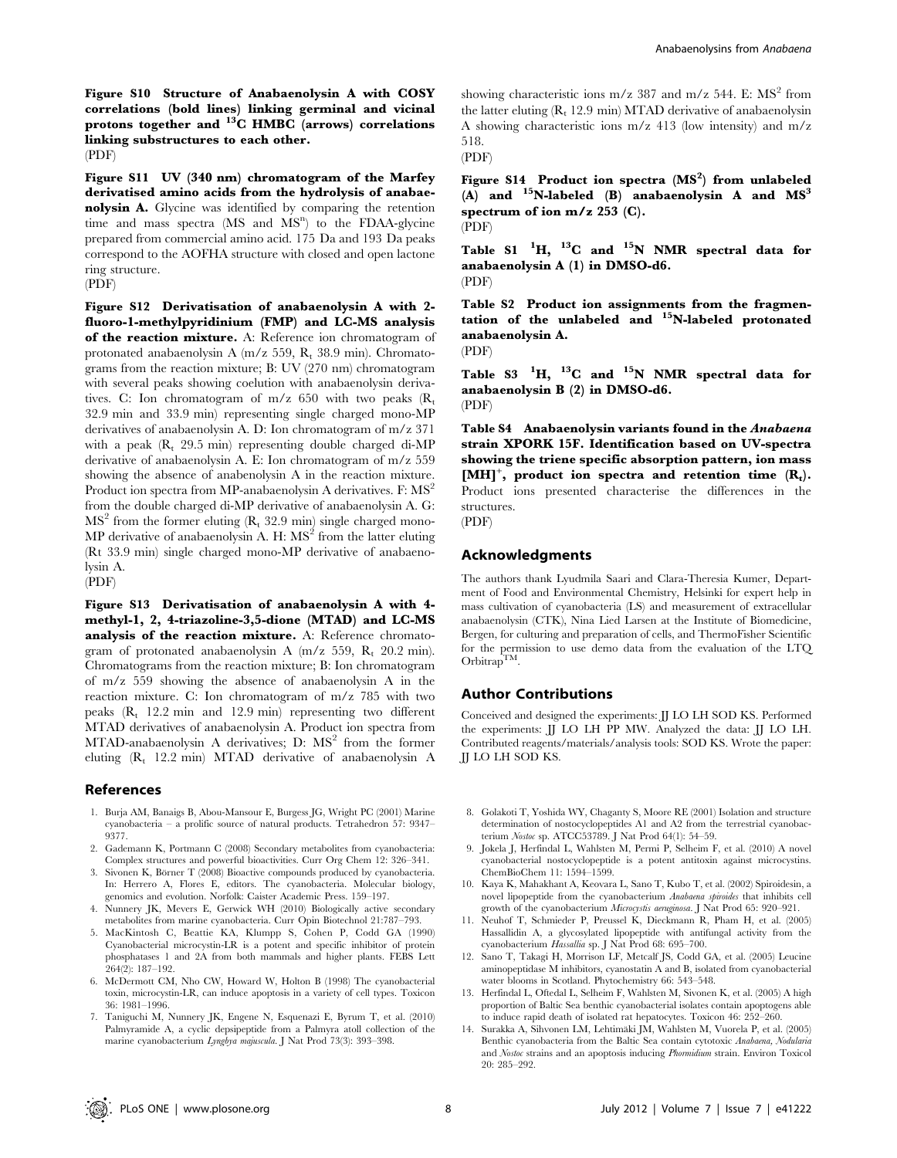Figure S10 Structure of Anabaenolysin A with COSY correlations (bold lines) linking germinal and vicinal protons together and  $^{13}$ C HMBC (arrows) correlations linking substructures to each other. (PDF)

Figure S11 UV (340 nm) chromatogram of the Marfey derivatised amino acids from the hydrolysis of anabaenolysin A. Glycine was identified by comparing the retention time and mass spectra (MS and MS<sup>n</sup>) to the FDAA-glycine prepared from commercial amino acid. 175 Da and 193 Da peaks correspond to the AOFHA structure with closed and open lactone ring structure.

#### (PDF)

Figure S12 Derivatisation of anabaenolysin A with 2 fluoro-1-methylpyridinium (FMP) and LC-MS analysis of the reaction mixture. A: Reference ion chromatogram of protonated anabaenolysin A (m/z 559, Rt 38.9 min). Chromatograms from the reaction mixture; B: UV (270 nm) chromatogram with several peaks showing coelution with anabaenolysin derivatives. C: Ion chromatogram of m/z 650 with two peaks  $(R_t)$ 32.9 min and 33.9 min) representing single charged mono-MP derivatives of anabaenolysin A. D: Ion chromatogram of m/z 371 with a peak  $(R<sub>t</sub> 29.5 min)$  representing double charged di-MP derivative of anabaenolysin A. E: Ion chromatogram of m/z 559 showing the absence of anabenolysin A in the reaction mixture. Product ion spectra from MP-anabaenolysin A derivatives. F: MS<sup>2</sup> from the double charged di-MP derivative of anabaenolysin A. G:  $MS<sup>2</sup>$  from the former eluting  $(R<sub>t</sub> 32.9 min)$  single charged mono-MP derivative of anabaenolysin A. H:  $MS<sup>2</sup>$  from the latter eluting (Rt 33.9 min) single charged mono-MP derivative of anabaenolysin A.

(PDF)

Figure S13 Derivatisation of anabaenolysin A with 4 methyl-1, 2, 4-triazoline-3,5-dione (MTAD) and LC-MS analysis of the reaction mixture. A: Reference chromatogram of protonated anabaenolysin A (m/z 559,  $R_t$  20.2 min). Chromatograms from the reaction mixture; B: Ion chromatogram of m/z 559 showing the absence of anabaenolysin A in the reaction mixture. C: Ion chromatogram of m/z 785 with two peaks  $(R_t$  12.2 min and 12.9 min) representing two different MTAD derivatives of anabaenolysin A. Product ion spectra from MTAD-anabaenolysin A derivatives; D:  $MS<sup>2</sup>$  from the former eluting (R<sub>t</sub> 12.2 min) MTAD derivative of anabaenolysin A

#### References

- 1. Burja AM, Banaigs B, Abou-Mansour E, Burgess JG, Wright PC (2001) Marine cyanobacteria – a prolific source of natural products. Tetrahedron 57: 9347– 9377.
- 2. Gademann K, Portmann C (2008) Secondary metabolites from cyanobacteria: Complex structures and powerful bioactivities. Curr Org Chem 12: 326–341.
- 3. Sivonen K, Börner T (2008) Bioactive compounds produced by cyanobacteria. In: Herrero A, Flores E, editors. The cyanobacteria. Molecular biology, genomics and evolution. Norfolk: Caister Academic Press. 159–197.
- 4. Nunnery JK, Mevers E, Gerwick WH (2010) Biologically active secondary metabolites from marine cyanobacteria. Curr Opin Biotechnol 21:787–793.
- 5. MacKintosh C, Beattie KA, Klumpp S, Cohen P, Codd GA (1990) Cyanobacterial microcystin-LR is a potent and specific inhibitor of protein phosphatases 1 and 2A from both mammals and higher plants. FEBS Lett 264(2): 187–192.
- 6. McDermott CM, Nho CW, Howard W, Holton B (1998) The cyanobacterial toxin, microcystin-LR, can induce apoptosis in a variety of cell types. Toxicon 36: 1981–1996.
- 7. Taniguchi M, Nunnery JK, Engene N, Esquenazi E, Byrum T, et al. (2010) Palmyramide A, a cyclic depsipeptide from a Palmyra atoll collection of the marine cyanobacterium Lyngbya majuscula. J Nat Prod 73(3): 393–398.

showing characteristic ions m/z 387 and m/z 544. E:  $MS<sup>2</sup>$  from the latter eluting  $(R_t 12.9 \text{ min})$  MTAD derivative of anabaenolysin A showing characteristic ions m/z 413 (low intensity) and m/z 518.

(PDF)

Figure S14 Product ion spectra  $(MS^2)$  from unlabeled (A) and  $^{15}$ N-labeled (B) anabaenolysin A and  $MS<sup>3</sup>$ spectrum of ion  $m/z$  253 (C). (PDF)

Table S1  $^1$ H,  $^{13}$ C and  $^{15}$ N NMR spectral data for anabaenolysin A (1) in DMSO-d6. (PDF)

Table S2 Product ion assignments from the fragmentation of the unlabeled and  $^{15}$ N-labeled protonated anabaenolysin A.

(PDF)

Table S3  $^1$ H,  $^{13}$ C and  $^{15}$ N NMR spectral data for anabaenolysin B (2) in DMSO-d6. (PDF)

Table S4 Anabaenolysin variants found in the Anabaena strain XPORK 15F. Identification based on UV-spectra showing the triene specific absorption pattern, ion mass  $[MH]^+$ , product ion spectra and retention time  $(R_t)$ . Product ions presented characterise the differences in the structures.

#### (PDF)

#### Acknowledgments

The authors thank Lyudmila Saari and Clara-Theresia Kumer, Department of Food and Environmental Chemistry, Helsinki for expert help in mass cultivation of cyanobacteria (LS) and measurement of extracellular anabaenolysin (CTK), Nina Lied Larsen at the Institute of Biomedicine, Bergen, for culturing and preparation of cells, and ThermoFisher Scientific for the permission to use demo data from the evaluation of the LTQ  $Orbitrap^{\text{TM}}$ .

#### Author Contributions

Conceived and designed the experiments: JJ LO LH SOD KS. Performed the experiments: JJ LO LH PP MW. Analyzed the data: JJ LO LH. Contributed reagents/materials/analysis tools: SOD KS. Wrote the paper: JJ LO LH SOD KS.

- 8. Golakoti T, Yoshida WY, Chaganty S, Moore RE (2001) Isolation and structure determination of nostocyclopeptides A1 and A2 from the terrestrial cyanobacterium Nostoc sp. ATCC53789. J Nat Prod 64(1): 54–59.
- 9. Jokela J, Herfindal L, Wahlsten M, Permi P, Selheim F, et al. (2010) A novel cyanobacterial nostocyclopeptide is a potent antitoxin against microcystins. ChemBioChem 11: 1594–1599.
- 10. Kaya K, Mahakhant A, Keovara L, Sano T, Kubo T, et al. (2002) Spiroidesin, a novel lipopeptide from the cyanobacterium Anabaena spiroides that inhibits cell growth of the cyanobacterium Microcystis aeruginosa. J Nat Prod 65: 920–921.
- 11. Neuhof T, Schmieder P, Preussel K, Dieckmann R, Pham H, et al. (2005) Hassallidin A, a glycosylated lipopeptide with antifungal activity from the cyanobacterium Hassallia sp. J Nat Prod 68: 695–700.
- 12. Sano T, Takagi H, Morrison LF, Metcalf JS, Codd GA, et al. (2005) Leucine aminopeptidase M inhibitors, cyanostatin A and B, isolated from cyanobacterial water blooms in Scotland. Phytochemistry 66: 543–548.
- 13. Herfindal L, Oftedal L, Selheim F, Wahlsten M, Sivonen K, et al. (2005) A high proportion of Baltic Sea benthic cyanobacterial isolates contain apoptogens able to induce rapid death of isolated rat hepatocytes. Toxicon 46: 252–260.
- 14. Surakka A, Sihvonen LM, Lehtimäki JM, Wahlsten M, Vuorela P, et al. (2005) Benthic cyanobacteria from the Baltic Sea contain cytotoxic Anabaena, Nodularia and Nostoc strains and an apoptosis inducing Phormidium strain. Environ Toxicol 20: 285–292.